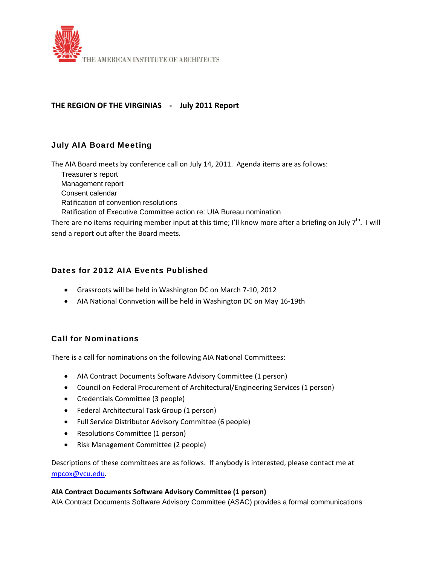

## **THE REGION OF THE VIRGINIAS ‐ July 2011 Report**

# July AIA Board Meeting

The AIA Board meets by conference call on July 14, 2011. Agenda items are as follows:

 Treasurer's report Management report Consent calendar Ratification of convention resolutions Ratification of Executive Committee action re: UIA Bureau nomination There are no items requiring member input at this time; I'll know more after a briefing on July  $7<sup>th</sup>$ . I will send a report out after the Board meets.

### Dates for 2012 AIA Events Published

- Grassroots will be held in Washington DC on March 7‐10, 2012
- AIA National Connvetion will be held in Washington DC on May 16-19th

### Call for Nominations

There is a call for nominations on the following AIA National Committees:

- AIA Contract Documents Software Advisory Committee (1 person)
- Council on Federal Procurement of Architectural/Engineering Services (1 person)
- Credentials Committee (3 people)
- Federal Architectural Task Group (1 person)
- Full Service Distributor Advisory Committee (6 people)
- Resolutions Committee (1 person)
- Risk Management Committee (2 people)

Descriptions of these committees are as follows. If anybody is interested, please contact me at mpcox@vcu.edu.

#### **AIA Contract Documents Software Advisory Committee (1 person)**

AIA Contract Documents Software Advisory Committee (ASAC) provides a formal communications